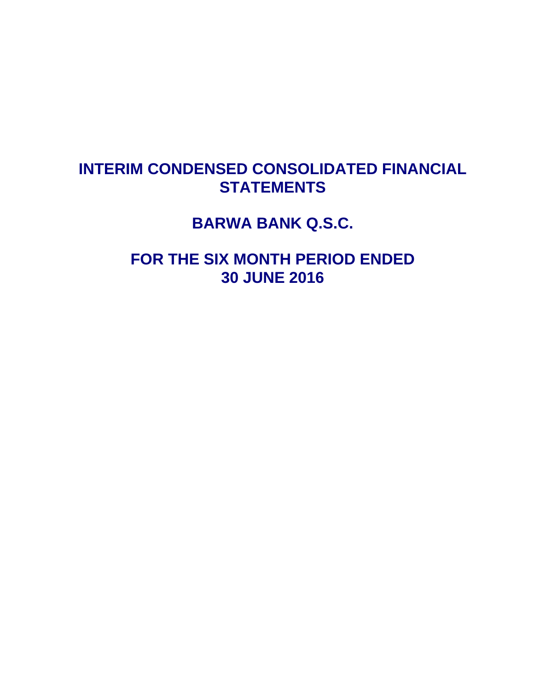# **INTERIM CONDENSED CONSOLIDATED FINANCIAL STATEMENTS**

**BARWA BANK Q.S.C.** 

**FOR THE SIX MONTH PERIOD ENDED 30 JUNE 2016**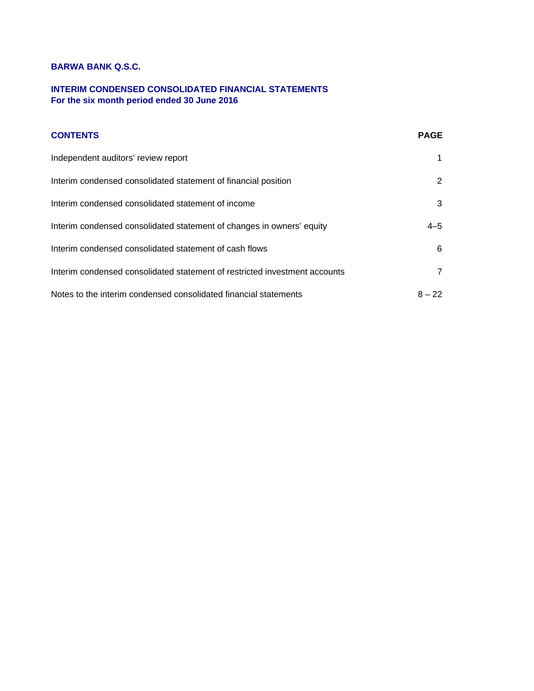## **INTERIM CONDENSED CONSOLIDATED FINANCIAL STATEMENTS For the six month period ended 30 June 2016**

| <b>CONTENTS</b>                                                            | <b>PAGE</b>    |
|----------------------------------------------------------------------------|----------------|
| Independent auditors' review report                                        |                |
| Interim condensed consolidated statement of financial position             | 2              |
| Interim condensed consolidated statement of income                         | 3              |
| Interim condensed consolidated statement of changes in owners' equity      | $4 - 5$        |
| Interim condensed consolidated statement of cash flows                     | 6              |
| Interim condensed consolidated statement of restricted investment accounts | $\overline{7}$ |
| Notes to the interim condensed consolidated financial statements           | $8 - 22$       |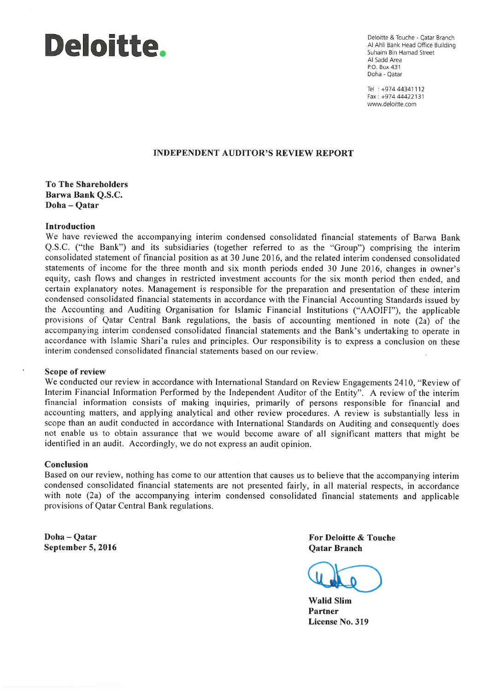

Deloitte & Touche - Qatar Branch Al Ahli Bank Head Office Building Suhaim Bin Hamad Street Al Sadd Area P.O. Box 431 Doha - Oatar

Tel: +974 44341112 Fax: +974 44422131 www.deloitte.com

#### **INDEPENDENT AUDITOR'S REVIEW REPORT**

**To The Shareholders** Barwa Bank O.S.C. Doha-Oatar

## **Introduction**

We have reviewed the accompanying interim condensed consolidated financial statements of Barwa Bank Q.S.C. ("the Bank") and its subsidiaries (together referred to as the "Group") comprising the interim consolidated statement of financial position as at 30 June 2016, and the related interim condensed consolidated statements of income for the three month and six month periods ended 30 June 2016, changes in owner's equity, cash flows and changes in restricted investment accounts for the six month period then ended, and certain explanatory notes. Management is responsible for the preparation and presentation of these interim condensed consolidated financial statements in accordance with the Financial Accounting Standards issued by the Accounting and Auditing Organisation for Islamic Financial Institutions ("AAOIFI"), the applicable provisions of Qatar Central Bank regulations, the basis of accounting mentioned in note (2a) of the accompanying interim condensed consolidated financial statements and the Bank's undertaking to operate in accordance with Islamic Shari'a rules and principles. Our responsibility is to express a conclusion on these interim condensed consolidated financial statements based on our review.

## Scope of review

We conducted our review in accordance with International Standard on Review Engagements 2410, "Review of Interim Financial Information Performed by the Independent Auditor of the Entity". A review of the interim financial information consists of making inquiries, primarily of persons responsible for financial and accounting matters, and applying analytical and other review procedures. A review is substantially less in scope than an audit conducted in accordance with International Standards on Auditing and consequently does not enable us to obtain assurance that we would become aware of all significant matters that might be identified in an audit. Accordingly, we do not express an audit opinion.

#### Conclusion

Based on our review, nothing has come to our attention that causes us to believe that the accompanying interim condensed consolidated financial statements are not presented fairly, in all material respects, in accordance with note (2a) of the accompanying interim condensed consolidated financial statements and applicable provisions of Qatar Central Bank regulations.

Doha-Oatar September 5, 2016 For Deloitte & Touche **Oatar Branch** 

**Walid Slim** Partner License No. 319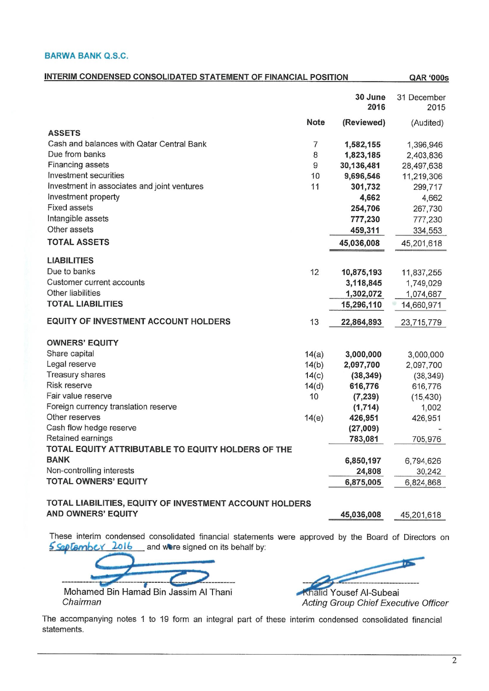| <b>INTERIM CONDENSED CONSOLIDATED STATEMENT OF FINANCIAL POSITION</b> |             |                 |                     |  |  |  |
|-----------------------------------------------------------------------|-------------|-----------------|---------------------|--|--|--|
|                                                                       |             | 30 June<br>2016 | 31 December<br>2015 |  |  |  |
|                                                                       | <b>Note</b> | (Reviewed)      | (Audited)           |  |  |  |
| <b>ASSETS</b>                                                         |             |                 |                     |  |  |  |
| Cash and balances with Qatar Central Bank                             | 7           | 1,582,155       | 1,396,946           |  |  |  |
| Due from banks                                                        | 8           | 1,823,185       | 2,403,836           |  |  |  |
| Financing assets                                                      | 9           | 30,136,481      | 28,497,638          |  |  |  |
| Investment securities                                                 | 10          | 9,696,546       | 11,219,306          |  |  |  |
| Investment in associates and joint ventures                           | 11          | 301,732         | 299,717             |  |  |  |
| Investment property                                                   |             | 4,662           | 4,662               |  |  |  |
| <b>Fixed assets</b>                                                   |             | 254,706         | 267,730             |  |  |  |
| Intangible assets                                                     |             | 777,230         | 777,230             |  |  |  |
| Other assets                                                          |             | 459,311         | 334,553             |  |  |  |
| <b>TOTAL ASSETS</b>                                                   |             | 45,036,008      | 45,201,618          |  |  |  |
| <b>LIABILITIES</b>                                                    |             |                 |                     |  |  |  |
| Due to banks                                                          | 12          | 10,875,193      | 11,837,255          |  |  |  |
| Customer current accounts                                             |             | 3,118,845       | 1,749,029           |  |  |  |
| Other liabilities                                                     |             | 1,302,072       | 1,074,687           |  |  |  |
| <b>TOTAL LIABILITIES</b>                                              |             | 15,296,110      | 14,660,971          |  |  |  |
| <b>EQUITY OF INVESTMENT ACCOUNT HOLDERS</b>                           | 13          | 22,864,893      | 23,715,779          |  |  |  |
| <b>OWNERS' EQUITY</b>                                                 |             |                 |                     |  |  |  |
| Share capital                                                         | 14(a)       | 3,000,000       | 3,000,000           |  |  |  |
| Legal reserve                                                         | 14(b)       | 2,097,700       | 2,097,700           |  |  |  |
| Treasury shares                                                       | 14(c)       | (38, 349)       | (38, 349)           |  |  |  |
| Risk reserve                                                          | 14(d)       | 616,776         | 616,776             |  |  |  |
| Fair value reserve                                                    | 10          | (7, 239)        | (15, 430)           |  |  |  |
| Foreign currency translation reserve                                  |             | (1,714)         | 1,002               |  |  |  |
| Other reserves                                                        | 14(e)       | 426,951         | 426,951             |  |  |  |
| Cash flow hedge reserve                                               |             | (27,009)        |                     |  |  |  |
| Retained earnings                                                     |             | 783,081         | 705,976             |  |  |  |
| TOTAL EQUITY ATTRIBUTABLE TO EQUITY HOLDERS OF THE                    |             |                 |                     |  |  |  |
| <b>BANK</b>                                                           |             | 6,850,197       | 6,794,626           |  |  |  |
| Non-controlling interests                                             |             | 24,808          | 30,242              |  |  |  |
| <b>TOTAL OWNERS' EQUITY</b>                                           |             | 6,875,005       | 6,824,868           |  |  |  |
|                                                                       |             |                 |                     |  |  |  |

## TOTAL LIABILITIES, EQUITY OF INVESTMENT ACCOUNT HOLDERS **AND OWNERS' EQUITY**

These interim condensed consolidated financial statements were approved by the Board of Directors on 5 September 2016 and were signed on its behalf by:

Mohamed Bin Hamad Bin Jassim Al Thani Chairman

**Khalid Yousef Al-Subeai** 

45,036,008

45,201,618

Acting Group Chief Executive Officer

The accompanying notes 1 to 19 form an integral part of these interim condensed consolidated financial statements.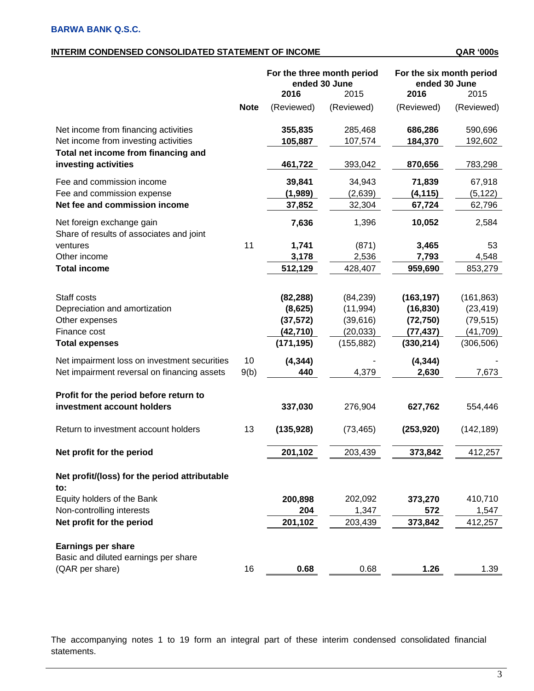## **INTERIM CONDENSED CONSOLIDATED STATEMENT OF INCOME QAR '000s**

|                                                                       |             |            | For the three month period<br>ended 30 June | For the six month period<br>ended 30 June |            |  |
|-----------------------------------------------------------------------|-------------|------------|---------------------------------------------|-------------------------------------------|------------|--|
|                                                                       |             | 2016       | 2015                                        | 2016                                      | 2015       |  |
|                                                                       | <b>Note</b> | (Reviewed) | (Reviewed)                                  | (Reviewed)                                | (Reviewed) |  |
| Net income from financing activities                                  |             | 355,835    | 285,468                                     | 686,286                                   | 590,696    |  |
| Net income from investing activities                                  |             | 105,887    | 107,574                                     | 184,370                                   | 192,602    |  |
| Total net income from financing and<br>investing activities           |             | 461,722    | 393,042                                     | 870,656                                   | 783,298    |  |
| Fee and commission income                                             |             | 39,841     | 34,943                                      | 71,839                                    | 67,918     |  |
| Fee and commission expense                                            |             | (1,989)    | (2,639)                                     | (4, 115)                                  | (5, 122)   |  |
| Net fee and commission income                                         |             | 37,852     | 32,304                                      | 67,724                                    | 62,796     |  |
| Net foreign exchange gain<br>Share of results of associates and joint |             | 7,636      | 1,396                                       | 10,052                                    | 2,584      |  |
| ventures                                                              | 11          | 1,741      | (871)                                       | 3,465                                     | 53         |  |
| Other income                                                          |             | 3,178      | 2,536                                       | 7,793                                     | 4,548      |  |
| <b>Total income</b>                                                   |             | 512,129    | 428,407                                     | 959,690                                   | 853,279    |  |
|                                                                       |             |            |                                             |                                           |            |  |
| Staff costs                                                           |             | (82, 288)  | (84, 239)                                   | (163, 197)                                | (161, 863) |  |
| Depreciation and amortization                                         |             | (8,625)    | (11, 994)                                   | (16, 830)                                 | (23, 419)  |  |
| Other expenses                                                        |             | (37, 572)  | (39,616)                                    | (72, 750)                                 | (79, 515)  |  |
| Finance cost                                                          |             | (42, 710)  | (20, 033)                                   | (77, 437)                                 | (41, 709)  |  |
| <b>Total expenses</b>                                                 |             | (171, 195) | (155, 882)                                  | (330, 214)                                | (306, 506) |  |
| Net impairment loss on investment securities                          | 10          | (4, 344)   |                                             | (4, 344)                                  |            |  |
| Net impairment reversal on financing assets                           | 9(b)        | 440        | 4,379                                       | 2,630                                     | 7,673      |  |
| Profit for the period before return to                                |             |            |                                             |                                           |            |  |
| investment account holders                                            |             | 337,030    | 276,904                                     | 627,762                                   | 554,446    |  |
| Return to investment account holders                                  | 13          | (135, 928) | (73, 465)                                   | (253, 920)                                | (142, 189) |  |
| Net profit for the period                                             |             | 201,102    | 203,439                                     | 373,842                                   | 412,257    |  |
| Net profit/(loss) for the period attributable<br>to:                  |             |            |                                             |                                           |            |  |
| Equity holders of the Bank                                            |             | 200,898    | 202,092                                     | 373,270                                   | 410,710    |  |
| Non-controlling interests                                             |             | 204        | 1,347                                       | 572                                       | 1,547      |  |
| Net profit for the period                                             |             | 201,102    | 203,439                                     | 373,842                                   | 412,257    |  |
|                                                                       |             |            |                                             |                                           |            |  |
| <b>Earnings per share</b>                                             |             |            |                                             |                                           |            |  |
| Basic and diluted earnings per share                                  |             |            |                                             |                                           |            |  |
| (QAR per share)                                                       | 16          | 0.68       | 0.68                                        | 1.26                                      | 1.39       |  |

The accompanying notes 1 to 19 form an integral part of these interim condensed consolidated financial statements.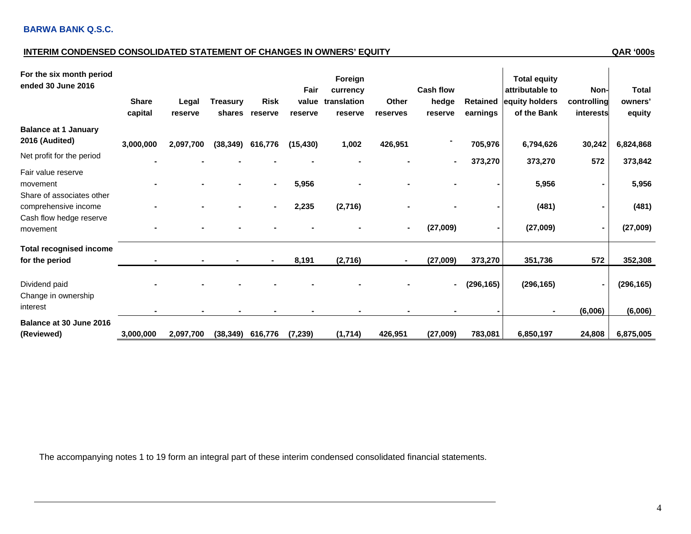## **INTERIM CONDENSED CONSOLIDATED STATEMENT OF CHANGES IN OWNERS' EQUITY QAR '000s**

| For the six month period<br>ended 30 June 2016              | <b>Share</b><br>capital | Legal<br>reserve | <b>Treasury</b><br>shares | <b>Risk</b><br>reserve | Fair<br>value<br>reserve | Foreign<br>currency<br>translation<br>reserve | Other<br>reserves | <b>Cash flow</b><br>hedge<br>reserve | <b>Retained</b><br>earnings | <b>Total equity</b><br>attributable to<br>equity holders<br>of the Bank | Non-<br>controlling<br>interests | <b>Total</b><br>owners'<br>equity |
|-------------------------------------------------------------|-------------------------|------------------|---------------------------|------------------------|--------------------------|-----------------------------------------------|-------------------|--------------------------------------|-----------------------------|-------------------------------------------------------------------------|----------------------------------|-----------------------------------|
| <b>Balance at 1 January</b><br>2016 (Audited)               | 3,000,000               | 2,097,700        | (38, 349)                 | 616,776                | (15, 430)                | 1,002                                         | 426,951           |                                      | 705,976                     | 6,794,626                                                               | 30,242                           | 6,824,868                         |
| Net profit for the period                                   |                         |                  |                           |                        |                          |                                               |                   |                                      | 373,270                     | 373,270                                                                 | 572                              | 373,842                           |
| Fair value reserve<br>movement<br>Share of associates other |                         |                  |                           |                        | 5,956                    |                                               |                   |                                      |                             | 5,956                                                                   |                                  | 5,956                             |
| comprehensive income                                        |                         |                  |                           |                        | 2,235                    | (2,716)                                       |                   |                                      |                             | (481)                                                                   |                                  | (481)                             |
| Cash flow hedge reserve<br>movement                         |                         |                  |                           |                        |                          |                                               |                   | (27,009)                             |                             | (27,009)                                                                |                                  | (27,009)                          |
| <b>Total recognised income</b>                              |                         |                  |                           |                        |                          |                                               |                   |                                      |                             |                                                                         |                                  |                                   |
| for the period                                              |                         |                  |                           |                        | 8,191                    | (2,716)                                       |                   | (27,009)                             | 373,270                     | 351,736                                                                 | 572                              | 352,308                           |
| Dividend paid<br>Change in ownership                        |                         |                  |                           |                        |                          |                                               |                   | ۰                                    | (296, 165)                  | (296, 165)                                                              |                                  | (296, 165)                        |
| interest                                                    |                         |                  |                           |                        |                          |                                               |                   |                                      |                             |                                                                         | (6,006)                          | (6,006)                           |
| Balance at 30 June 2016<br>(Reviewed)                       | 3,000,000               | 2,097,700        | (38, 349)                 | 616,776                | (7, 239)                 | (1,714)                                       | 426,951           | (27,009)                             | 783,081                     | 6,850,197                                                               | 24,808                           | 6,875,005                         |

The accompanying notes 1 to 19 form an integral part of these interim condensed consolidated financial statements.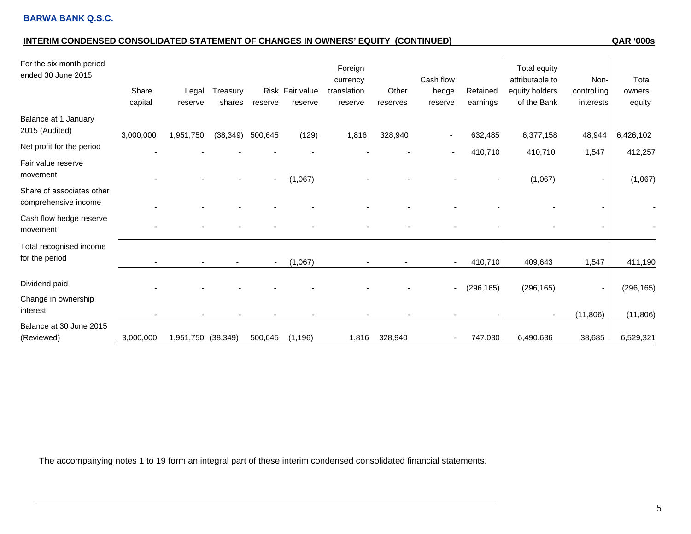## **INTERIM CONDENSED CONSOLIDATED STATEMENT OF CHANGES IN OWNERS' EQUITY (CONTINUED) QAR '000s**

| For the six month period<br>ended 30 June 2015    | Share<br>capital | Legal<br>reserve   | Treasury<br>shares | reserve | Risk Fair value<br>reserve | Foreign<br>currency<br>translation<br>reserve | Other<br>reserves | Cash flow<br>hedge<br>reserve | Retained<br>earnings | Total equity<br>attributable to<br>equity holders<br>of the Bank | Non-<br>controlling<br>interests | Total<br>owners'<br>equity |
|---------------------------------------------------|------------------|--------------------|--------------------|---------|----------------------------|-----------------------------------------------|-------------------|-------------------------------|----------------------|------------------------------------------------------------------|----------------------------------|----------------------------|
| Balance at 1 January<br>2015 (Audited)            | 3,000,000        | 1,951,750          | (38, 349)          | 500,645 | (129)                      | 1,816                                         | 328,940           |                               | 632,485              | 6,377,158                                                        | 48,944                           | 6,426,102                  |
| Net profit for the period                         |                  |                    |                    |         |                            |                                               |                   |                               | 410,710              | 410,710                                                          | 1,547                            | 412,257                    |
| Fair value reserve<br>movement                    |                  |                    |                    |         | (1,067)                    |                                               |                   |                               |                      | (1,067)                                                          |                                  | (1,067)                    |
| Share of associates other<br>comprehensive income |                  |                    |                    |         |                            |                                               |                   |                               |                      |                                                                  |                                  |                            |
| Cash flow hedge reserve<br>movement               |                  |                    |                    |         |                            |                                               |                   |                               |                      |                                                                  |                                  |                            |
| Total recognised income<br>for the period         |                  |                    |                    | $\sim$  | (1,067)                    |                                               |                   | $\overline{\phantom{a}}$      | 410,710              | 409,643                                                          | 1,547                            | 411,190                    |
| Dividend paid                                     |                  |                    |                    |         |                            |                                               |                   | $\overline{\phantom{a}}$      | (296, 165)           | (296, 165)                                                       |                                  | (296, 165)                 |
| Change in ownership<br>interest                   |                  |                    |                    |         |                            |                                               |                   |                               |                      |                                                                  | (11, 806)                        | (11, 806)                  |
| Balance at 30 June 2015<br>(Reviewed)             | 3,000,000        | 1,951,750 (38,349) |                    | 500,645 | (1, 196)                   | 1,816                                         | 328,940           | $\overline{\phantom{a}}$      | 747,030              | 6,490,636                                                        | 38,685                           | 6,529,321                  |

The accompanying notes 1 to 19 form an integral part of these interim condensed consolidated financial statements.

 $\overline{1}$ 

 $\mathbf{1}$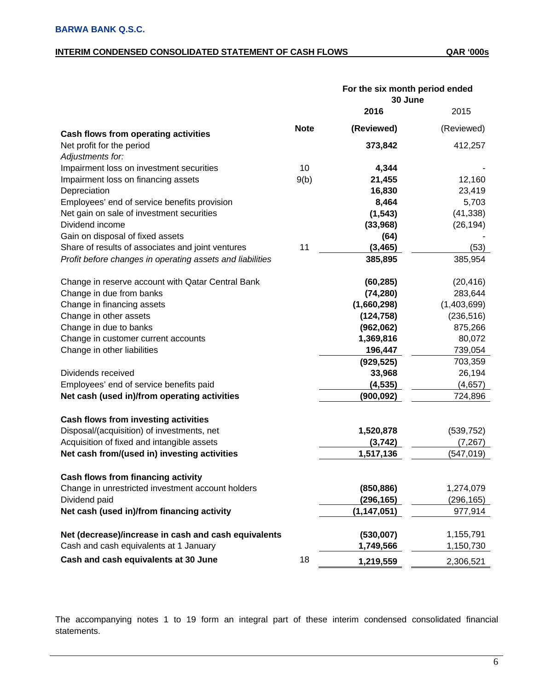## **INTERIM CONDENSED CONSOLIDATED STATEMENT OF CASH FLOWS QAR '000s**

|                                                           |             | For the six month period ended |             |
|-----------------------------------------------------------|-------------|--------------------------------|-------------|
|                                                           |             | 30 June                        |             |
|                                                           |             | 2016                           | 2015        |
| <b>Cash flows from operating activities</b>               | <b>Note</b> | (Reviewed)                     | (Reviewed)  |
| Net profit for the period                                 |             | 373,842                        | 412,257     |
| Adjustments for:                                          |             |                                |             |
| Impairment loss on investment securities                  | 10          | 4,344                          |             |
| Impairment loss on financing assets                       | 9(b)        | 21,455                         | 12,160      |
| Depreciation                                              |             | 16,830                         | 23,419      |
| Employees' end of service benefits provision              |             | 8,464                          | 5,703       |
| Net gain on sale of investment securities                 |             | (1, 543)                       | (41, 338)   |
| Dividend income                                           |             | (33,968)                       | (26, 194)   |
| Gain on disposal of fixed assets                          |             | (64)                           |             |
| Share of results of associates and joint ventures         | 11          | (3, 465)                       | (53)        |
| Profit before changes in operating assets and liabilities |             | 385,895                        | 385,954     |
| Change in reserve account with Qatar Central Bank         |             | (60, 285)                      | (20, 416)   |
| Change in due from banks                                  |             | (74, 280)                      | 283,644     |
| Change in financing assets                                |             | (1,660,298)                    | (1,403,699) |
| Change in other assets                                    |             | (124, 758)                     | (236, 516)  |
| Change in due to banks                                    |             | (962,062)                      | 875,266     |
| Change in customer current accounts                       |             | 1,369,816                      | 80,072      |
| Change in other liabilities                               |             | 196,447                        | 739,054     |
|                                                           |             | (929, 525)                     | 703,359     |
| Dividends received                                        |             | 33,968                         | 26,194      |
| Employees' end of service benefits paid                   |             | (4, 535)                       | (4,657)     |
| Net cash (used in)/from operating activities              |             | (900, 092)                     | 724,896     |
| Cash flows from investing activities                      |             |                                |             |
| Disposal/(acquisition) of investments, net                |             | 1,520,878                      | (539, 752)  |
| Acquisition of fixed and intangible assets                |             | (3,742)                        | (7, 267)    |
| Net cash from/(used in) investing activities              |             | 1,517,136                      | (547, 019)  |
|                                                           |             |                                |             |
| Cash flows from financing activity                        |             |                                |             |
| Change in unrestricted investment account holders         |             | (850, 886)                     | 1,274,079   |
| Dividend paid                                             |             | (296, 165)                     | (296,165)   |
| Net cash (used in)/from financing activity                |             | (1, 147, 051)                  | 977,914     |
| Net (decrease)/increase in cash and cash equivalents      |             | (530,007)                      | 1,155,791   |
| Cash and cash equivalents at 1 January                    |             | 1,749,566                      | 1,150,730   |
| Cash and cash equivalents at 30 June                      | 18          | 1,219,559                      | 2,306,521   |

The accompanying notes 1 to 19 form an integral part of these interim condensed consolidated financial statements.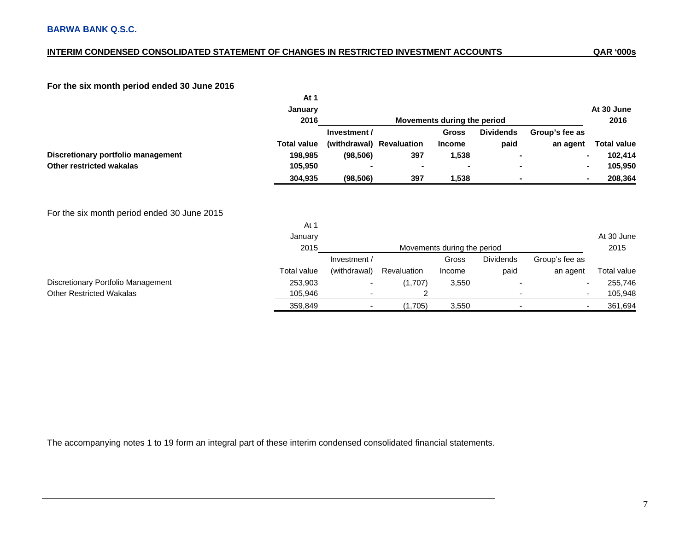## **INTERIM CONDENSED CONSOLIDATED STATEMENT OF CHANGES IN RESTRICTED INVESTMENT ACCOUNTS**

## **For the six month period ended 30 June 2016**

|                                             | At 1                    |              |                          |                             |                  |                |                                     |
|---------------------------------------------|-------------------------|--------------|--------------------------|-----------------------------|------------------|----------------|-------------------------------------|
|                                             | January                 |              |                          |                             |                  |                | At 30 June                          |
|                                             | 2016                    |              |                          | Movements during the period |                  |                | 2016                                |
|                                             |                         | Investment / |                          | <b>Gross</b>                | <b>Dividends</b> | Group's fee as |                                     |
|                                             | <b>Total value</b>      |              | (withdrawal) Revaluation | <b>Income</b>               | paid             | an agent       | <b>Total value</b>                  |
| Discretionary portfolio management          | 198,985                 | (98, 506)    | 397                      | 1,538                       |                  |                | 102,414<br>$\blacksquare$           |
| Other restricted wakalas                    | 105,950                 |              |                          |                             |                  |                | 105,950<br>$\blacksquare$           |
|                                             | 304,935                 | (98, 506)    | 397                      | 1,538                       |                  |                | 208,364<br>$\blacksquare$           |
| For the six month period ended 30 June 2015 | At 1<br>January<br>2015 |              |                          | Movements during the period |                  |                | At 30 June<br>2015                  |
|                                             |                         | Investment / |                          | Gross                       | <b>Dividends</b> | Group's fee as |                                     |
|                                             | Total value             | (withdrawal) | Revaluation              | Income                      | paid             | an agent       | Total value                         |
| Discretionary Portfolio Management          | 253,903                 |              | (1,707)                  | 3,550                       |                  |                | 255,746<br>$\overline{\phantom{a}}$ |
| <b>Other Restricted Wakalas</b>             | 105,946                 |              |                          |                             |                  |                | 105,948<br>$\blacksquare$           |
|                                             | 359,849                 |              | (1,705)                  | 3,550                       |                  |                | 361,694                             |

The accompanying notes 1 to 19 form an integral part of these interim condensed consolidated financial statements.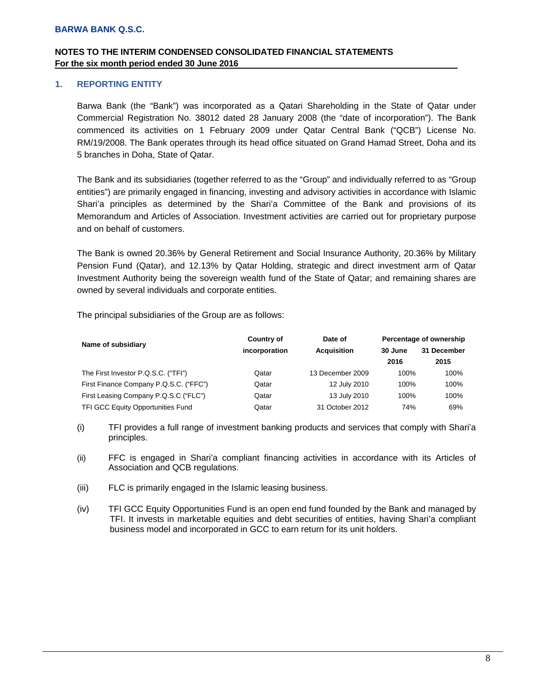## **NOTES TO THE INTERIM CONDENSED CONSOLIDATED FINANCIAL STATEMENTS For the six month period ended 30 June 2016 .**

## **1. REPORTING ENTITY**

Barwa Bank (the "Bank") was incorporated as a Qatari Shareholding in the State of Qatar under Commercial Registration No. 38012 dated 28 January 2008 (the "date of incorporation"). The Bank commenced its activities on 1 February 2009 under Qatar Central Bank ("QCB") License No. RM/19/2008. The Bank operates through its head office situated on Grand Hamad Street, Doha and its 5 branches in Doha, State of Qatar.

The Bank and its subsidiaries (together referred to as the "Group" and individually referred to as "Group entities") are primarily engaged in financing, investing and advisory activities in accordance with Islamic Shari'a principles as determined by the Shari'a Committee of the Bank and provisions of its Memorandum and Articles of Association. Investment activities are carried out for proprietary purpose and on behalf of customers.

The Bank is owned 20.36% by General Retirement and Social Insurance Authority, 20.36% by Military Pension Fund (Qatar), and 12.13% by Qatar Holding, strategic and direct investment arm of Qatar Investment Authority being the sovereign wealth fund of the State of Qatar; and remaining shares are owned by several individuals and corporate entities.

The principal subsidiaries of the Group are as follows:

| Name of subsidiary                       | Country of    | Date of            | Percentage of ownership |             |  |  |
|------------------------------------------|---------------|--------------------|-------------------------|-------------|--|--|
|                                          | incorporation | <b>Acquisition</b> | 30 June                 | 31 December |  |  |
|                                          |               |                    | 2016                    | 2015        |  |  |
| The First Investor P.Q.S.C. ("TFI")      | Qatar         | 13 December 2009   | 100%                    | 100%        |  |  |
| First Finance Company P.Q.S.C. ("FFC")   | Qatar         | 12 July 2010       | 100%                    | 100%        |  |  |
| First Leasing Company P.Q.S.C ("FLC")    | Qatar         | 13 July 2010       | 100%                    | 100%        |  |  |
| <b>TFI GCC Equity Opportunities Fund</b> | Qatar         | 31 October 2012    | 74%                     | 69%         |  |  |

- (i) TFI provides a full range of investment banking products and services that comply with Shari'a principles.
- (ii) FFC is engaged in Shari'a compliant financing activities in accordance with its Articles of Association and QCB regulations.
- (iii) FLC is primarily engaged in the Islamic leasing business.
- (iv) TFI GCC Equity Opportunities Fund is an open end fund founded by the Bank and managed by TFI. It invests in marketable equities and debt securities of entities, having Shari'a compliant business model and incorporated in GCC to earn return for its unit holders.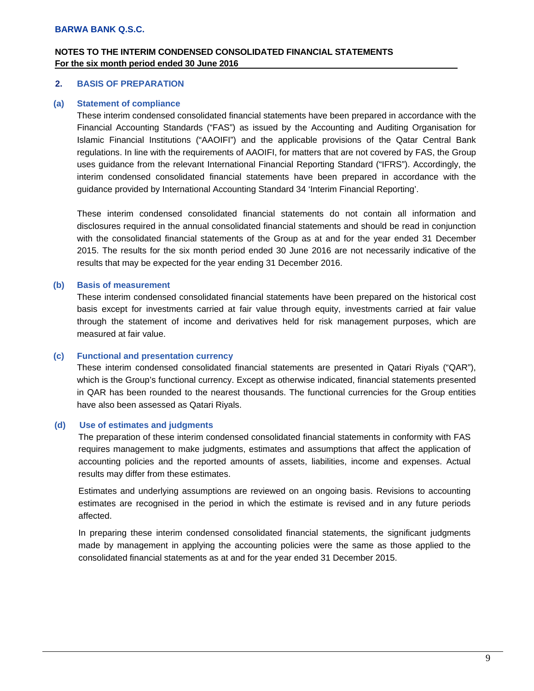## **NOTES TO THE INTERIM CONDENSED CONSOLIDATED FINANCIAL STATEMENTS For the six month period ended 30 June 2016 .**

#### **2. BASIS OF PREPARATION**

#### **(a) Statement of compliance**

These interim condensed consolidated financial statements have been prepared in accordance with the Financial Accounting Standards ("FAS") as issued by the Accounting and Auditing Organisation for Islamic Financial Institutions ("AAOIFI") and the applicable provisions of the Qatar Central Bank regulations. In line with the requirements of AAOIFI, for matters that are not covered by FAS, the Group uses guidance from the relevant International Financial Reporting Standard ("IFRS"). Accordingly, the interim condensed consolidated financial statements have been prepared in accordance with the guidance provided by International Accounting Standard 34 'Interim Financial Reporting'.

These interim condensed consolidated financial statements do not contain all information and disclosures required in the annual consolidated financial statements and should be read in conjunction with the consolidated financial statements of the Group as at and for the year ended 31 December 2015. The results for the six month period ended 30 June 2016 are not necessarily indicative of the results that may be expected for the year ending 31 December 2016.

#### **(b) Basis of measurement**

These interim condensed consolidated financial statements have been prepared on the historical cost basis except for investments carried at fair value through equity, investments carried at fair value through the statement of income and derivatives held for risk management purposes, which are measured at fair value.

#### **(c) Functional and presentation currency**

These interim condensed consolidated financial statements are presented in Qatari Riyals ("QAR"), which is the Group's functional currency. Except as otherwise indicated, financial statements presented in QAR has been rounded to the nearest thousands. The functional currencies for the Group entities have also been assessed as Qatari Riyals.

#### **(d) Use of estimates and judgments**

The preparation of these interim condensed consolidated financial statements in conformity with FAS requires management to make judgments, estimates and assumptions that affect the application of accounting policies and the reported amounts of assets, liabilities, income and expenses. Actual results may differ from these estimates.

Estimates and underlying assumptions are reviewed on an ongoing basis. Revisions to accounting estimates are recognised in the period in which the estimate is revised and in any future periods affected.

In preparing these interim condensed consolidated financial statements, the significant judgments made by management in applying the accounting policies were the same as those applied to the consolidated financial statements as at and for the year ended 31 December 2015.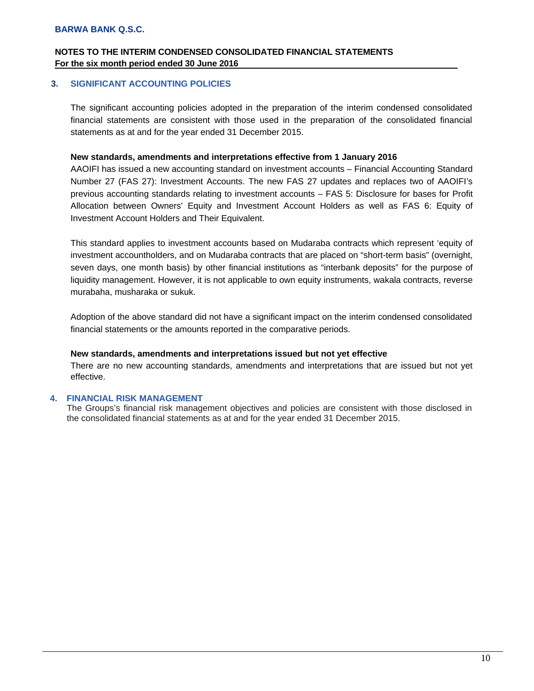## **NOTES TO THE INTERIM CONDENSED CONSOLIDATED FINANCIAL STATEMENTS For the six month period ended 30 June 2016 .**

## **3. SIGNIFICANT ACCOUNTING POLICIES**

The significant accounting policies adopted in the preparation of the interim condensed consolidated financial statements are consistent with those used in the preparation of the consolidated financial statements as at and for the year ended 31 December 2015.

#### **New standards, amendments and interpretations effective from 1 January 2016**

AAOIFI has issued a new accounting standard on investment accounts – Financial Accounting Standard Number 27 (FAS 27): Investment Accounts. The new FAS 27 updates and replaces two of AAOIFI's previous accounting standards relating to investment accounts – FAS 5: Disclosure for bases for Profit Allocation between Owners' Equity and Investment Account Holders as well as FAS 6: Equity of Investment Account Holders and Their Equivalent.

This standard applies to investment accounts based on Mudaraba contracts which represent 'equity of investment accountholders, and on Mudaraba contracts that are placed on "short-term basis" (overnight, seven days, one month basis) by other financial institutions as "interbank deposits" for the purpose of liquidity management. However, it is not applicable to own equity instruments, wakala contracts, reverse murabaha, musharaka or sukuk.

Adoption of the above standard did not have a significant impact on the interim condensed consolidated financial statements or the amounts reported in the comparative periods.

#### **New standards, amendments and interpretations issued but not yet effective**

There are no new accounting standards, amendments and interpretations that are issued but not yet effective.

#### **4. FINANCIAL RISK MANAGEMENT**

The Groups's financial risk management objectives and policies are consistent with those disclosed in the consolidated financial statements as at and for the year ended 31 December 2015.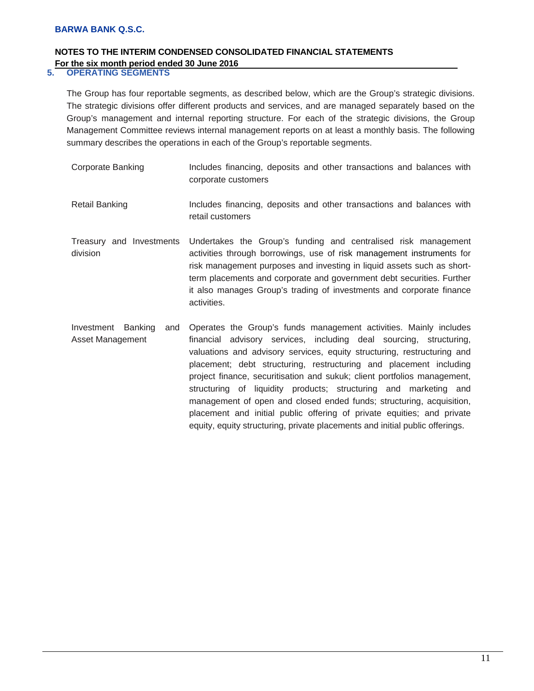## **NOTES TO THE INTERIM CONDENSED CONSOLIDATED FINANCIAL STATEMENTS For the six month period ended 30 June 2016**<br>5. **OPERATING SEGMENTS**

## **5. OPERATING SEGMENTS**

The Group has four reportable segments, as described below, which are the Group's strategic divisions. The strategic divisions offer different products and services, and are managed separately based on the Group's management and internal reporting structure. For each of the strategic divisions, the Group Management Committee reviews internal management reports on at least a monthly basis. The following summary describes the operations in each of the Group's reportable segments.

| <b>Corporate Banking</b>                         | Includes financing, deposits and other transactions and balances with<br>corporate customers                                                                                                                                                                                                                                                                                                                                                                                                                                                                                               |
|--------------------------------------------------|--------------------------------------------------------------------------------------------------------------------------------------------------------------------------------------------------------------------------------------------------------------------------------------------------------------------------------------------------------------------------------------------------------------------------------------------------------------------------------------------------------------------------------------------------------------------------------------------|
| <b>Retail Banking</b>                            | Includes financing, deposits and other transactions and balances with<br>retail customers                                                                                                                                                                                                                                                                                                                                                                                                                                                                                                  |
| Treasury and Investments<br>division             | Undertakes the Group's funding and centralised risk management<br>activities through borrowings, use of risk management instruments for<br>risk management purposes and investing in liquid assets such as short-<br>term placements and corporate and government debt securities. Further<br>it also manages Group's trading of investments and corporate finance<br>activities.                                                                                                                                                                                                          |
| Banking<br>Investment<br>and<br>Asset Management | Operates the Group's funds management activities. Mainly includes<br>financial advisory services, including deal sourcing, structuring,<br>valuations and advisory services, equity structuring, restructuring and<br>placement; debt structuring, restructuring and placement including<br>project finance, securitisation and sukuk; client portfolios management,<br>structuring of liquidity products; structuring and marketing and<br>management of open and closed ended funds; structuring, acquisition,<br>placement and initial public offering of private equities; and private |

equity, equity structuring, private placements and initial public offerings.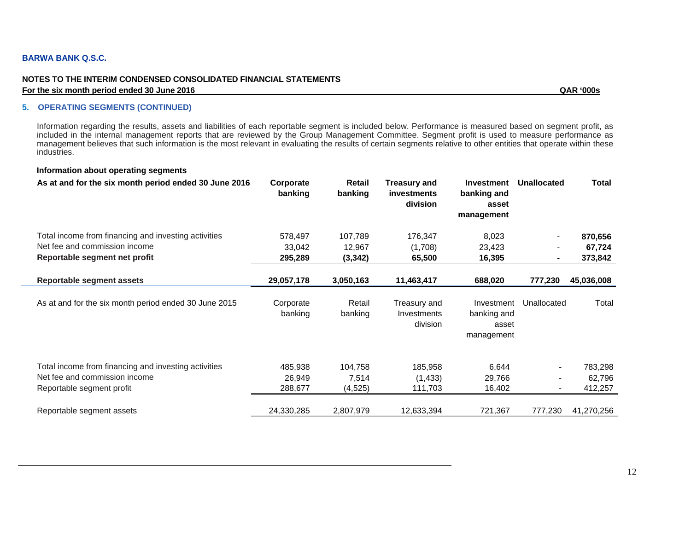#### **NOTES TO THE INTERIM CONDENSED CONSOLIDATED FINANCIAL STATEMENTS For the six month period ended 30 June 2016 QAR '000s**

#### **5. OPERATING SEGMENTS (CONTINUED)**

Information regarding the results, assets and liabilities of each reportable segment is included below. Performance is measured based on segment profit, as included in the internal management reports that are reviewed by the Group Management Committee. Segment profit is used to measure performance as management believes that such information is the most relevant in evaluating the results of certain segments relative to other entities that operate within these industries.

#### **Information about operating segments**

| As at and for the six month period ended 30 June 2016                                                              | Corporate<br>banking         | Retail<br>banking            | <b>Treasury and</b><br>investments<br><b>division</b> | <b>Investment</b><br>banking and<br>asset<br>management | <b>Unallocated</b> | Total                        |
|--------------------------------------------------------------------------------------------------------------------|------------------------------|------------------------------|-------------------------------------------------------|---------------------------------------------------------|--------------------|------------------------------|
| Total income from financing and investing activities<br>Net fee and commission income                              | 578,497<br>33,042            | 107,789<br>12,967            | 176,347<br>(1,708)                                    | 8,023<br>23,423                                         |                    | 870,656<br>67,724            |
| Reportable segment net profit                                                                                      | 295,289                      | (3, 342)                     | 65,500                                                | 16,395                                                  |                    | 373,842                      |
| Reportable segment assets                                                                                          | 29,057,178                   | 3,050,163                    | 11,463,417                                            | 688,020                                                 | 777,230            | 45,036,008                   |
| As at and for the six month period ended 30 June 2015                                                              | Corporate<br>banking         | Retail<br>banking            | Treasury and<br>Investments<br>division               | Investment<br>banking and<br>asset<br>management        | Unallocated        | Total                        |
| Total income from financing and investing activities<br>Net fee and commission income<br>Reportable segment profit | 485,938<br>26,949<br>288,677 | 104,758<br>7,514<br>(4, 525) | 185,958<br>(1, 433)<br>111,703                        | 6,644<br>29,766<br>16,402                               |                    | 783,298<br>62,796<br>412,257 |
| Reportable segment assets                                                                                          | 24,330,285                   | 2,807,979                    | 12,633,394                                            | 721,367                                                 | 777,230            | 41,270,256                   |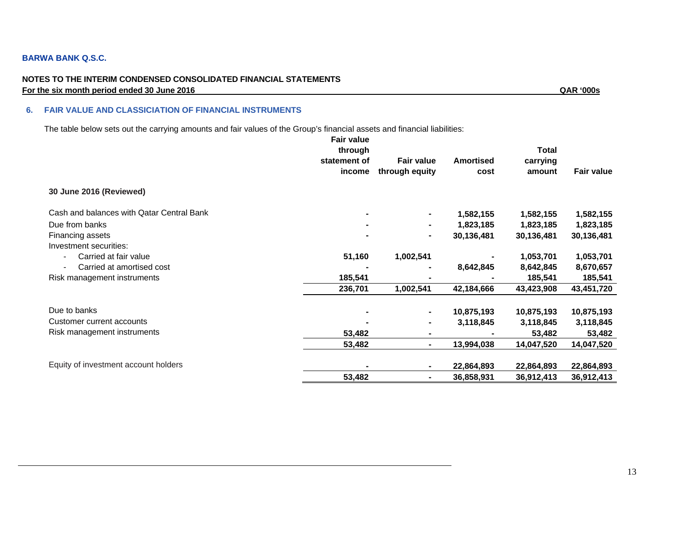#### **NOTES TO THE INTERIM CONDENSED CONSOLIDATED FINANCIAL STATEMENTS For the six month period ended 30 June 2016** QAR '000s

#### **6. FAIR VALUE AND CLASSICIATION OF FINANCIAL INSTRUMENTS**

The table below sets out the carrying amounts and fair values of the Group's financial assets and financial liabilities:

|                                                   | <b>Fair value</b><br>through<br>statement of<br>income | <b>Fair value</b><br>through equity | <b>Amortised</b><br>cost | <b>Total</b><br>carrying<br>amount | <b>Fair value</b> |
|---------------------------------------------------|--------------------------------------------------------|-------------------------------------|--------------------------|------------------------------------|-------------------|
| 30 June 2016 (Reviewed)                           |                                                        |                                     |                          |                                    |                   |
| Cash and balances with Qatar Central Bank         |                                                        | ٠                                   | 1,582,155                | 1,582,155                          | 1,582,155         |
| Due from banks                                    |                                                        | ۰                                   | 1,823,185                | 1,823,185                          | 1,823,185         |
| Financing assets                                  |                                                        | ۰                                   | 30,136,481               | 30,136,481                         | 30,136,481        |
| Investment securities:                            |                                                        |                                     |                          |                                    |                   |
| Carried at fair value<br>$\overline{\phantom{a}}$ | 51,160                                                 | 1,002,541                           |                          | 1,053,701                          | 1,053,701         |
| Carried at amortised cost                         |                                                        |                                     | 8,642,845                | 8,642,845                          | 8,670,657         |
| Risk management instruments                       | 185,541                                                |                                     |                          | 185,541                            | 185,541           |
|                                                   | 236,701                                                | 1,002,541                           | 42,184,666               | 43,423,908                         | 43,451,720        |
| Due to banks                                      |                                                        | ۰                                   | 10,875,193               | 10,875,193                         | 10,875,193        |
| Customer current accounts                         |                                                        | ۰                                   | 3,118,845                | 3,118,845                          | 3,118,845         |
| Risk management instruments                       | 53,482                                                 | ۰                                   |                          | 53,482                             | 53,482            |
|                                                   | 53,482                                                 | $\blacksquare$                      | 13,994,038               | 14,047,520                         | 14,047,520        |
| Equity of investment account holders              |                                                        | ۰                                   | 22,864,893               | 22,864,893                         | 22,864,893        |
|                                                   | 53,482                                                 | $\blacksquare$                      | 36,858,931               | 36,912,413                         | 36,912,413        |
|                                                   |                                                        |                                     |                          |                                    |                   |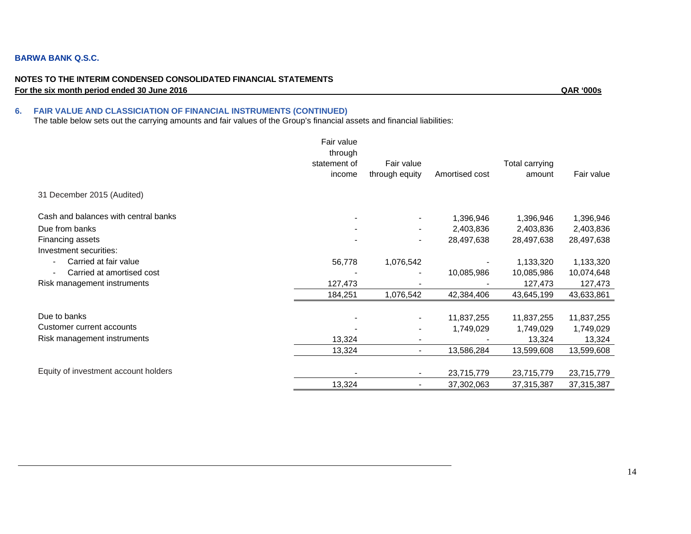#### **NOTES TO THE INTERIM CONDENSED CONSOLIDATED FINANCIAL STATEMENTS For the six month period ended 30 June 2016** QAR '000s

## **6. FAIR VALUE AND CLASSICIATION OF FINANCIAL INSTRUMENTS (CONTINUED)**

The table below sets out the carrying amounts and fair values of the Group's financial assets and financial liabilities:

|                                      | Fair value<br>through<br>statement of<br>income | Fair value<br>through equity | Amortised cost | Total carrying<br>amount | Fair value |
|--------------------------------------|-------------------------------------------------|------------------------------|----------------|--------------------------|------------|
|                                      |                                                 |                              |                |                          |            |
| 31 December 2015 (Audited)           |                                                 |                              |                |                          |            |
| Cash and balances with central banks |                                                 |                              | 1,396,946      | 1,396,946                | 1,396,946  |
| Due from banks                       |                                                 |                              | 2,403,836      | 2,403,836                | 2,403,836  |
| Financing assets                     |                                                 | $\overline{\phantom{a}}$     | 28,497,638     | 28,497,638               | 28,497,638 |
| Investment securities:               |                                                 |                              |                |                          |            |
| Carried at fair value                | 56,778                                          | 1,076,542                    |                | 1,133,320                | 1,133,320  |
| Carried at amortised cost            |                                                 |                              | 10,085,986     | 10,085,986               | 10,074,648 |
| Risk management instruments          | 127,473                                         |                              |                | 127,473                  | 127,473    |
|                                      | 184,251                                         | 1,076,542                    | 42,384,406     | 43,645,199               | 43,633,861 |
| Due to banks                         |                                                 |                              | 11,837,255     | 11,837,255               | 11,837,255 |
| Customer current accounts            |                                                 |                              | 1,749,029      | 1,749,029                | 1,749,029  |
| Risk management instruments          | 13,324                                          |                              |                | 13,324                   | 13,324     |
|                                      | 13,324                                          |                              | 13,586,284     | 13,599,608               | 13,599,608 |
|                                      |                                                 |                              |                |                          |            |
| Equity of investment account holders |                                                 |                              | 23,715,779     | 23,715,779               | 23,715,779 |
|                                      | 13,324                                          |                              | 37,302,063     | 37,315,387               | 37,315,387 |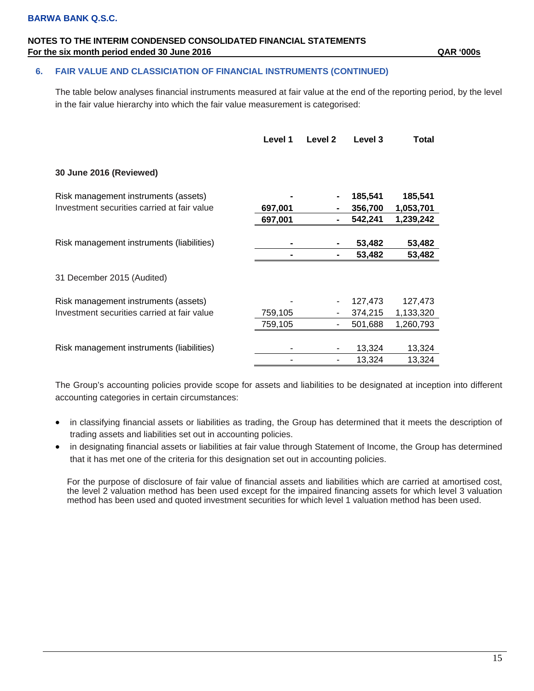## **NOTES TO THE INTERIM CONDENSED CONSOLIDATED FINANCIAL STATEMENTS For the six month period ended 30 June 2016 CAR '000s' QAR '000s' QAR** '000s'

## **6. FAIR VALUE AND CLASSICIATION OF FINANCIAL INSTRUMENTS (CONTINUED)**

The table below analyses financial instruments measured at fair value at the end of the reporting period, by the level in the fair value hierarchy into which the fair value measurement is categorised:

|                                             | Level 1 | Level 2 | Level 3 | Total     |
|---------------------------------------------|---------|---------|---------|-----------|
| 30 June 2016 (Reviewed)                     |         |         |         |           |
| Risk management instruments (assets)        |         |         | 185,541 | 185,541   |
| Investment securities carried at fair value | 697,001 |         | 356,700 | 1,053,701 |
|                                             | 697,001 |         | 542,241 | 1,239,242 |
|                                             |         |         |         |           |
| Risk management instruments (liabilities)   |         |         | 53,482  | 53,482    |
|                                             |         |         | 53,482  | 53,482    |
| 31 December 2015 (Audited)                  |         |         |         |           |
| Risk management instruments (assets)        |         |         | 127,473 | 127,473   |
| Investment securities carried at fair value | 759,105 |         | 374,215 | 1,133,320 |
|                                             | 759,105 |         | 501,688 | 1,260,793 |
|                                             |         |         |         |           |
| Risk management instruments (liabilities)   |         |         | 13,324  | 13,324    |
|                                             |         |         | 13,324  | 13,324    |

The Group's accounting policies provide scope for assets and liabilities to be designated at inception into different accounting categories in certain circumstances:

- in classifying financial assets or liabilities as trading, the Group has determined that it meets the description of trading assets and liabilities set out in accounting policies.
- in designating financial assets or liabilities at fair value through Statement of Income, the Group has determined that it has met one of the criteria for this designation set out in accounting policies.

For the purpose of disclosure of fair value of financial assets and liabilities which are carried at amortised cost, the level 2 valuation method has been used except for the impaired financing assets for which level 3 valuation method has been used and quoted investment securities for which level 1 valuation method has been used.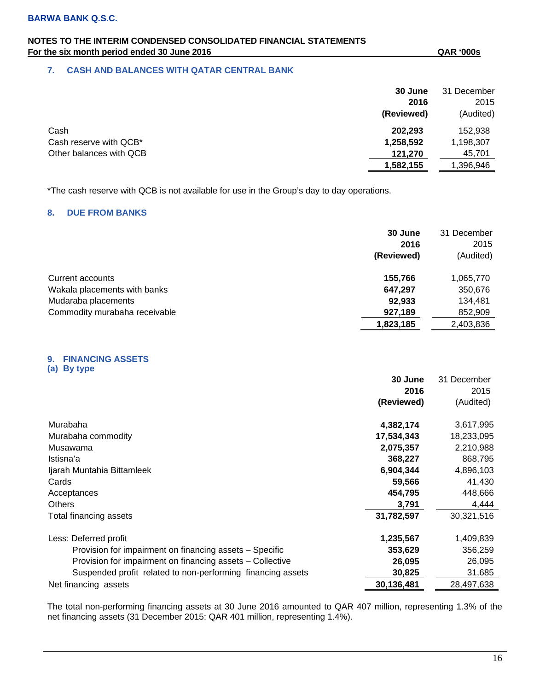## **NOTES TO THE INTERIM CONDENSED CONSOLIDATED FINANCIAL STATEMENTS For the six month period ended 30 June 2016 CAR '000s' QAR '000s' QAR** '000s'

## **7. CASH AND BALANCES WITH QATAR CENTRAL BANK**

|                         | 30 June    | 31 December |
|-------------------------|------------|-------------|
|                         | 2016       | 2015        |
|                         | (Reviewed) | (Audited)   |
| Cash                    | 202,293    | 152,938     |
| Cash reserve with QCB*  | 1,258,592  | 1,198,307   |
| Other balances with QCB | 121.270    | 45,701      |
|                         | 1,582,155  | 396,946, ا  |

\*The cash reserve with QCB is not available for use in the Group's day to day operations.

## **8. DUE FROM BANKS**

|                               | 30 June<br>2016<br>(Reviewed) | 31 December<br>2015<br>(Audited) |
|-------------------------------|-------------------------------|----------------------------------|
| Current accounts              | 155,766                       | 1,065,770                        |
| Wakala placements with banks  | 647,297                       | 350,676                          |
| Mudaraba placements           | 92,933                        | 134,481                          |
| Commodity murabaha receivable | 927,189                       | 852,909                          |
|                               | 1,823,185                     | 2,403,836                        |

#### **9. FINANCING ASSETS (a) By type**

**30 June 2016 (Reviewed)** 31 December 2015 (Audited) Murabaha **4,382,174** 3,617,995 Murabaha commodity **17,534,343** 18,233,095 Musawama **2,075,357** 2,210,988 Istisna'a **368,227** 868,795 Ijarah Muntahia Bittamleek **6,904,344** 4,896,103 Cards **59,566** 41,430 Acceptances **454,795** 448,666 Others **3,791** 4,444 Total financing assets **31,782,597** 30,321,516 Less: Deferred profit **1,235,567** 1,409,839 Provision for impairment on financing assets – Specific **353,629** 356,259 Provision for impairment on financing assets – Collective **26,095** 26,095 Suspended profit related to non-performing financing assets **30,825** 31,685 Net financing assets **30,136,481** 28,497,638

The total non-performing financing assets at 30 June 2016 amounted to QAR 407 million, representing 1.3% of the net financing assets (31 December 2015: QAR 401 million, representing 1.4%).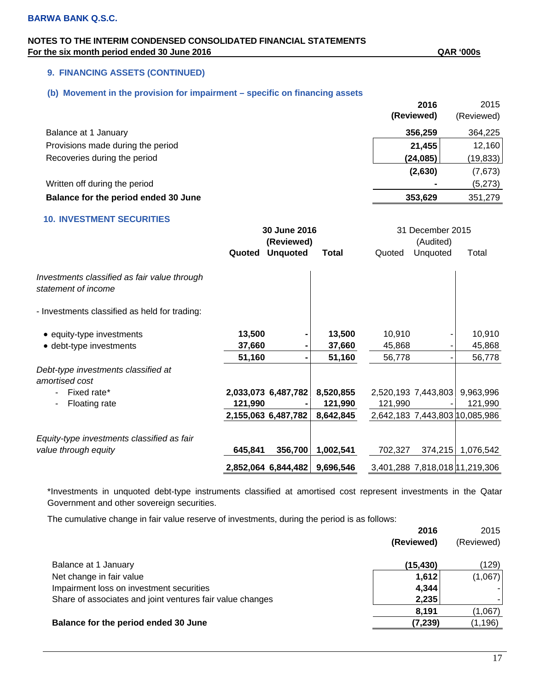## **NOTES TO THE INTERIM CONDENSED CONSOLIDATED FINANCIAL STATEMENTS**  For the six month period ended 30 June 2016 **GAR** '000s

## **9. FINANCING ASSETS (CONTINUED)**

## **(b) Movement in the provision for impairment – specific on financing assets**

|                                      | 2016       | 2015       |
|--------------------------------------|------------|------------|
|                                      | (Reviewed) | (Reviewed) |
| Balance at 1 January                 | 356,259    | 364,225    |
| Provisions made during the period    | 21,455     | 12,160     |
| Recoveries during the period         | (24, 085)  | (19, 833)  |
|                                      | (2,630)    | (7,673)    |
| Written off during the period        |            | (5,273)    |
| Balance for the period ended 30 June | 353,629    | 351,279    |

## **10. INVESTMENT SECURITIES**

|                                                                     |         | 30 June 2016        |              |         | 31 December 2015    |                                |
|---------------------------------------------------------------------|---------|---------------------|--------------|---------|---------------------|--------------------------------|
|                                                                     |         | (Reviewed)          |              |         | (Audited)           |                                |
|                                                                     | Quoted  | <b>Unquoted</b>     | <b>Total</b> | Quoted  | Unquoted            | Total                          |
| Investments classified as fair value through<br>statement of income |         |                     |              |         |                     |                                |
| - Investments classified as held for trading:                       |         |                     |              |         |                     |                                |
| • equity-type investments                                           | 13,500  |                     | 13,500       | 10,910  |                     | 10,910                         |
| • debt-type investments                                             | 37,660  |                     | 37,660       | 45,868  |                     | 45,868                         |
|                                                                     | 51,160  |                     | 51,160       | 56,778  |                     | 56,778                         |
| Debt-type investments classified at<br>amortised cost               |         |                     |              |         |                     |                                |
| Fixed rate*                                                         |         | 2,033,073 6,487,782 | 8,520,855    |         | 2,520,193 7,443,803 | 9,963,996                      |
| Floating rate<br>۰                                                  | 121,990 |                     | 121,990      | 121,990 |                     | 121,990                        |
|                                                                     |         | 2,155,063 6,487,782 | 8,642,845    |         |                     | 2,642,183 7,443,803 10,085,986 |
| Equity-type investments classified as fair                          |         |                     |              |         |                     |                                |
| value through equity                                                | 645,841 | 356,700             | 1,002,541    | 702,327 | 374,215             | 1,076,542                      |
|                                                                     |         | 2,852,064 6,844,482 | 9,696,546    |         |                     | 3,401,288 7,818,018 11,219,306 |

\*Investments in unquoted debt-type instruments classified at amortised cost represent investments in the Qatar Government and other sovereign securities.

The cumulative change in fair value reserve of investments, during the period is as follows:

|                                                           | 2016       | 2015       |
|-----------------------------------------------------------|------------|------------|
|                                                           | (Reviewed) | (Reviewed) |
| Balance at 1 January                                      | (15, 430)  | (129)      |
| Net change in fair value                                  | 1,612      | (1,067)    |
| Impairment loss on investment securities                  | 4,344      |            |
| Share of associates and joint ventures fair value changes | 2,235      |            |
|                                                           | 8,191      | (1,067)    |
| Balance for the period ended 30 June                      | (7, 239)   | (1, 196)   |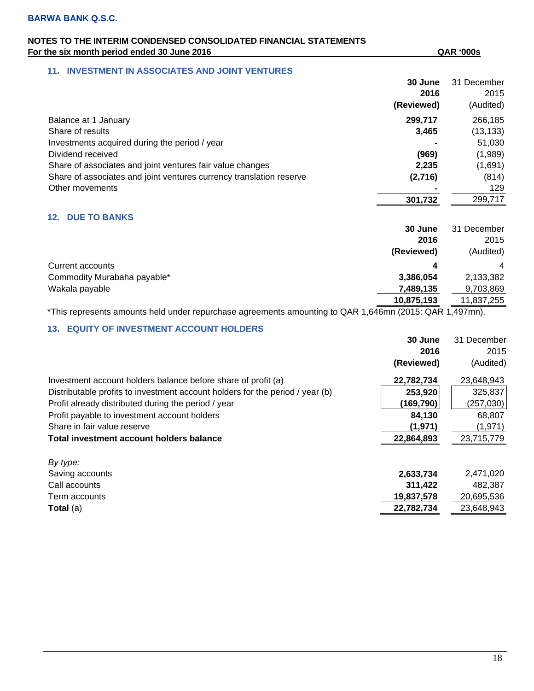## **NOTES TO THE INTERIM CONDENSED CONSOLIDATED FINANCIAL STATEMENTS**  For the six month period ended 30 June 2016 **GAR** '000s

#### **11. INVESTMENT IN ASSOCIATES AND JOINT VENTURES**

|                                                                     | 30 June<br>2016<br>(Reviewed) | 31 December<br>2015<br>(Audited) |
|---------------------------------------------------------------------|-------------------------------|----------------------------------|
| Balance at 1 January                                                | 299,717                       | 266,185                          |
| Share of results                                                    | 3,465                         | (13, 133)                        |
| Investments acquired during the period / year                       |                               | 51,030                           |
| Dividend received                                                   | (969)                         | (1,989)                          |
| Share of associates and joint ventures fair value changes           | 2,235                         | (1,691)                          |
| Share of associates and joint ventures currency translation reserve | (2,716)                       | (814)                            |
| Other movements                                                     |                               | 129                              |
|                                                                     | 301,732                       | 299,717                          |

## **12. DUE TO BANKS**

|                             | 30 June    | 31 December    |
|-----------------------------|------------|----------------|
|                             | 2016       | 2015           |
|                             | (Reviewed) | (Audited)      |
| Current accounts            | 4          | $\overline{4}$ |
| Commodity Murabaha payable* | 3,386,054  | 2,133,382      |
| Wakala payable              | 7,489,135  | 9,703,869      |
|                             | 10,875,193 | 11,837,255     |

\*This represents amounts held under repurchase agreements amounting to QAR 1,646mn (2015: QAR 1,497mn).

## **13. EQUITY OF INVESTMENT ACCOUNT HOLDERS**

|                                                                               | 30 June    | 31 December |
|-------------------------------------------------------------------------------|------------|-------------|
|                                                                               | 2016       | 2015        |
|                                                                               | (Reviewed) | (Audited)   |
| Investment account holders balance before share of profit (a)                 | 22,782,734 | 23,648,943  |
| Distributable profits to investment account holders for the period / year (b) | 253,920    | 325,837     |
| Profit already distributed during the period / year                           | (169,790)  | (257,030)   |
| Profit payable to investment account holders                                  | 84,130     | 68,807      |
| Share in fair value reserve                                                   | (1,971)    | (1, 971)    |
| Total investment account holders balance                                      | 22,864,893 | 23,715,779  |
| By type:                                                                      |            |             |
| Saving accounts                                                               | 2,633,734  | 2,471,020   |
| Call accounts                                                                 | 311,422    | 482,387     |
| Term accounts                                                                 | 19,837,578 | 20,695,536  |
| Total (a)                                                                     | 22,782,734 | 23,648,943  |
|                                                                               |            |             |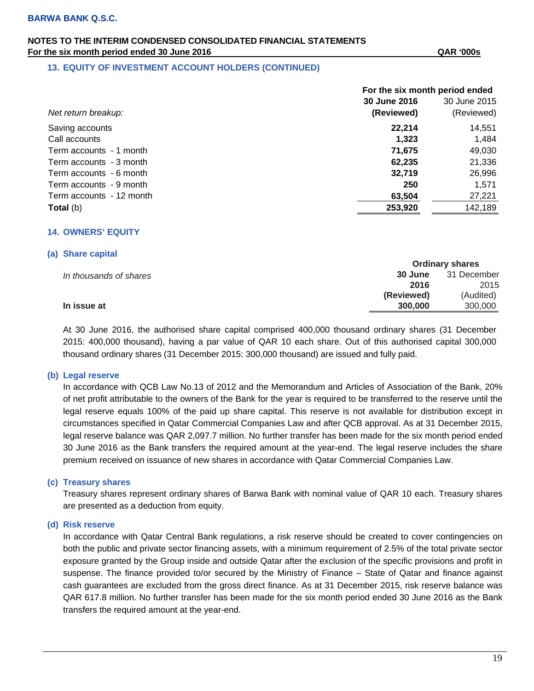## **NOTES TO THE INTERIM CONDENSED CONSOLIDATED FINANCIAL STATEMENTS For the six month period ended 30 June 2016 QAR '000s**

#### **13. EQUITY OF INVESTMENT ACCOUNT HOLDERS (CONTINUED)**

|                          | For the six month period ended |              |
|--------------------------|--------------------------------|--------------|
|                          | 30 June 2016                   | 30 June 2015 |
| Net return breakup:      | (Reviewed)                     | (Reviewed)   |
| Saving accounts          | 22,214                         | 14,551       |
| Call accounts            | 1,323                          | 1,484        |
| Term accounts - 1 month  | 71.675                         | 49,030       |
| Term accounts - 3 month  | 62,235                         | 21,336       |
| Term accounts - 6 month  | 32,719                         | 26,996       |
| Term accounts - 9 month  | 250                            | 1,571        |
| Term accounts - 12 month | 63,504                         | 27,221       |
| <b>Total</b> (b)         | 253,920                        | 142,189      |

#### **14. OWNERS' EQUITY**

#### **(a) Share capital**

|                        |            | <b>Ordinary shares</b> |
|------------------------|------------|------------------------|
| In thousands of shares | 30 June    | 31 December            |
|                        | 2016       | 2015                   |
|                        | (Reviewed) | (Audited)              |
| In issue at            | 300,000    | 300,000                |

At 30 June 2016, the authorised share capital comprised 400,000 thousand ordinary shares (31 December 2015: 400,000 thousand), having a par value of QAR 10 each share. Out of this authorised capital 300,000 thousand ordinary shares (31 December 2015: 300,000 thousand) are issued and fully paid.

#### **(b) Legal reserve**

In accordance with QCB Law No.13 of 2012 and the Memorandum and Articles of Association of the Bank, 20% of net profit attributable to the owners of the Bank for the year is required to be transferred to the reserve until the legal reserve equals 100% of the paid up share capital. This reserve is not available for distribution except in circumstances specified in Qatar Commercial Companies Law and after QCB approval. As at 31 December 2015, legal reserve balance was QAR 2,097.7 million. No further transfer has been made for the six month period ended 30 June 2016 as the Bank transfers the required amount at the year-end. The legal reserve includes the share premium received on issuance of new shares in accordance with Qatar Commercial Companies Law.

#### **(c) Treasury shares**

Treasury shares represent ordinary shares of Barwa Bank with nominal value of QAR 10 each. Treasury shares are presented as a deduction from equity.

#### **(d) Risk reserve**

In accordance with Qatar Central Bank regulations, a risk reserve should be created to cover contingencies on both the public and private sector financing assets, with a minimum requirement of 2.5% of the total private sector exposure granted by the Group inside and outside Qatar after the exclusion of the specific provisions and profit in suspense. The finance provided to/or secured by the Ministry of Finance – State of Qatar and finance against cash guarantees are excluded from the gross direct finance. As at 31 December 2015, risk reserve balance was QAR 617.8 million. No further transfer has been made for the six month period ended 30 June 2016 as the Bank transfers the required amount at the year-end.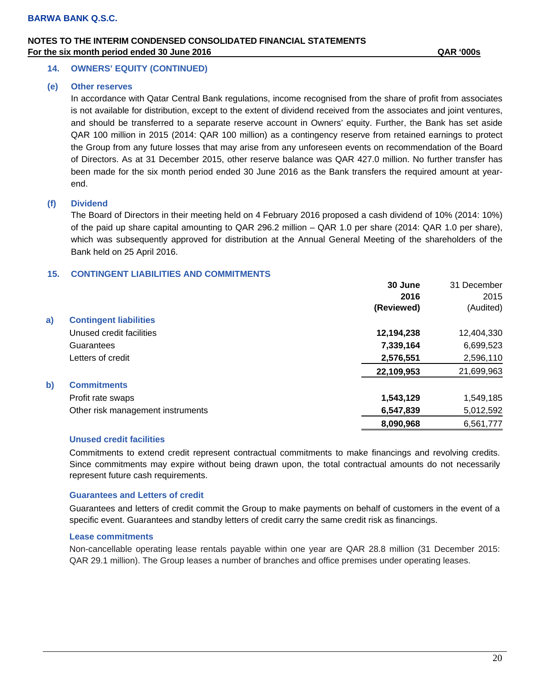## **NOTES TO THE INTERIM CONDENSED CONSOLIDATED FINANCIAL STATEMENTS For the six month period ended 30 June 2016 QAR '000s**

#### **14. OWNERS' EQUITY (CONTINUED)**

#### **(e) Other reserves**

In accordance with Qatar Central Bank regulations, income recognised from the share of profit from associates is not available for distribution, except to the extent of dividend received from the associates and joint ventures, and should be transferred to a separate reserve account in Owners' equity. Further, the Bank has set aside QAR 100 million in 2015 (2014: QAR 100 million) as a contingency reserve from retained earnings to protect the Group from any future losses that may arise from any unforeseen events on recommendation of the Board of Directors. As at 31 December 2015, other reserve balance was QAR 427.0 million. No further transfer has been made for the six month period ended 30 June 2016 as the Bank transfers the required amount at yearend.

#### **(f) Dividend**

The Board of Directors in their meeting held on 4 February 2016 proposed a cash dividend of 10% (2014: 10%) of the paid up share capital amounting to QAR 296.2 million – QAR 1.0 per share (2014: QAR 1.0 per share), which was subsequently approved for distribution at the Annual General Meeting of the shareholders of the Bank held on 25 April 2016.

#### **15. CONTINGENT LIABILITIES AND COMMITMENTS**

|              |                                   | 30 June    | 31 December |
|--------------|-----------------------------------|------------|-------------|
|              |                                   | 2016       | 2015        |
|              |                                   | (Reviewed) | (Audited)   |
| a)           | <b>Contingent liabilities</b>     |            |             |
|              | Unused credit facilities          | 12,194,238 | 12,404,330  |
|              | Guarantees                        | 7,339,164  | 6,699,523   |
|              | Letters of credit                 | 2,576,551  | 2,596,110   |
|              |                                   | 22,109,953 | 21,699,963  |
| $\mathbf{b}$ | <b>Commitments</b>                |            |             |
|              | Profit rate swaps                 | 1,543,129  | 1,549,185   |
|              | Other risk management instruments | 6,547,839  | 5,012,592   |
|              |                                   | 8,090,968  | 6,561,777   |

#### **Unused credit facilities**

Commitments to extend credit represent contractual commitments to make financings and revolving credits. Since commitments may expire without being drawn upon, the total contractual amounts do not necessarily represent future cash requirements.

#### **Guarantees and Letters of credit**

Guarantees and letters of credit commit the Group to make payments on behalf of customers in the event of a specific event. Guarantees and standby letters of credit carry the same credit risk as financings.

#### **Lease commitments**

Non-cancellable operating lease rentals payable within one year are QAR 28.8 million (31 December 2015: QAR 29.1 million). The Group leases a number of branches and office premises under operating leases.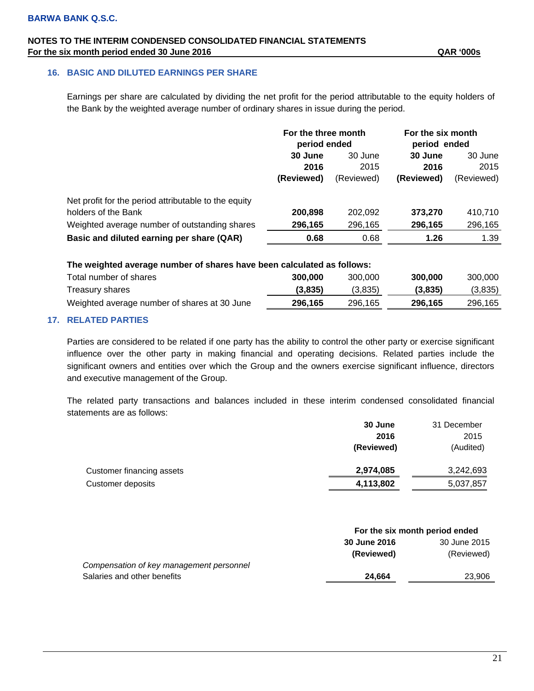## **NOTES TO THE INTERIM CONDENSED CONSOLIDATED FINANCIAL STATEMENTS For the six month period ended 30 June 2016 QAR '000s**

## **16. BASIC AND DILUTED EARNINGS PER SHARE**

Earnings per share are calculated by dividing the net profit for the period attributable to the equity holders of the Bank by the weighted average number of ordinary shares in issue during the period.

|                                                      | For the three month<br>period ended |            | For the six month<br>period ended |            |
|------------------------------------------------------|-------------------------------------|------------|-----------------------------------|------------|
|                                                      | 30 June                             | 30 June    | 30 June                           | 30 June    |
|                                                      | 2016                                | 2015       | 2016                              | 2015       |
|                                                      | (Reviewed)                          | (Reviewed) | (Reviewed)                        | (Reviewed) |
| Net profit for the period attributable to the equity |                                     |            |                                   |            |
| holders of the Bank                                  | 200,898                             | 202,092    | 373,270                           | 410,710    |
| Weighted average number of outstanding shares        | 296,165                             | 296,165    | 296,165                           | 296,165    |
| Basic and diluted earning per share (QAR)            | 0.68                                | 0.68       | 1.26                              | 1.39       |
|                                                      |                                     |            |                                   |            |

#### **The weighted average number of shares have been calculated as follows:**

| Total number of shares                       | 300,000 | 300.000 | 300,000 | 300,000 |
|----------------------------------------------|---------|---------|---------|---------|
| Treasury shares                              | (3,835) | (3.835) | (3,835) | (3,835) |
| Weighted average number of shares at 30 June | 296.165 | 296,165 | 296,165 | 296.165 |

## **17. RELATED PARTIES**

Parties are considered to be related if one party has the ability to control the other party or exercise significant influence over the other party in making financial and operating decisions. Related parties include the significant owners and entities over which the Group and the owners exercise significant influence, directors and executive management of the Group.

The related party transactions and balances included in these interim condensed consolidated financial statements are as follows:

|                           | 30 June    | 31 December |
|---------------------------|------------|-------------|
|                           | 2016       | 2015        |
|                           | (Reviewed) | (Audited)   |
| Customer financing assets | 2,974,085  | 3,242,693   |
| Customer deposits         | 4,113,802  | 5,037,857   |

|                                          | For the six month period ended |              |  |
|------------------------------------------|--------------------------------|--------------|--|
|                                          | 30 June 2016                   | 30 June 2015 |  |
|                                          | (Reviewed)                     | (Reviewed)   |  |
| Compensation of key management personnel |                                |              |  |
| Salaries and other benefits              | 24.664                         | 23.906       |  |